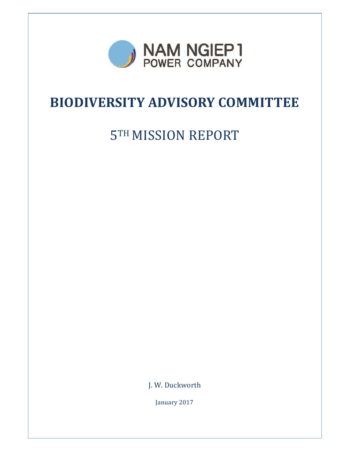

## **BIODIVERSITY ADVISORY COMMITTEE**

# **5TH MISSION REPORT**

J. W. Duckworth

January 2017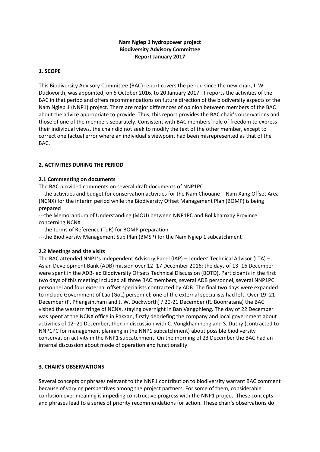## **Nam Ngiep 1 hydropower project Biodiversity Advisory Committee Report January 2017**

## **1. SCOPE**

This Biodiversity Advisory Committee (BAC) report covers the period since the new chair, J. W. Duckworth, was appointed, on 5 October 2016, to 20 January 2017. It reports the activities of the BAC in that period and offers recommendations on future direction of the biodiversity aspects of the Nam Ngiep 1 (NNP1) project. There are major differences of opinion between members of the BAC about the advice appropriate to provide. Thus, this report provides the BAC chair's observations and those of one of the members separately. Consistent with BAC members' role of freedom to express their individual views, the chair did not seek to modify the text of the other member, except to correct one factual error where an individual's viewpoint had been misrepresented as that of the BAC.

## **2. ACTIVITIES DURING THE PERIOD**

## **2.1 Commenting on documents**

The BAC provided comments on several draft documents of NNP1PC:

---the activities and budget for conservation activities for the Nam Chouane – Nam Xang Offset Area (NCNX) for the interim period while the Biodiversity Offset Management Plan (BOMP) is being prepared

---the Memorandum of Understanding (MOU) between NNP1PC and Bolikhamxay Province concerning NCNX

---the terms of Reference (ToR) for BOMP preparation

---the Biodiversity Management Sub Plan (BMSP) for the Nam Ngiep 1 subcatchment

#### **2.2 Meetings and site visits**

The BAC attended NNP1's Independent Advisory Panel (IAP) – Lenders' Technical Advisor (LTA) – Asian Development Bank (ADB) mission over 12–17 December 2016; the days of 13–16 December were spent in the ADB-led Biodiversity Offsets Technical Discussion (BOTD). Participants in the first two days of this meeting included all three BAC members, several ADB personnel, several NNP1PC personnel and four external offset specialists contracted by ADB. The final two days were expanded to include Government of Lao (GoL) personnel; one of the external specialists had left. Over 19–21 December (P. Phengsintham and J. W. Duckworth) / 20-21 December (R. Boonratana) the BAC visited the western fringe of NCNX, staying overnight in Ban Vangphieng. The day of 22 December was spent at the NCNX office in Pakxan, firstly debriefing the company and local government about activities of 12–21 December, then in discussion with C. Vongkhamheng and S. Duthy (contracted to NNP1PC for management planning in the NNP1 subcatchment) about possible biodiversity conservation activity in the NNP1 subcatchment. On the morning of 23 December the BAC had an internal discussion about mode of operation and functionality.

## **3. CHAIR'S OBSERVATIONS**

Several concepts or phrases relevant to the NNP1 contribution to biodiversity warrant BAC comment because of varying perspectives among the project partners. For some of them, considerable confusion over meaning is impeding constructive progress with the NNP1 project. These concepts and phrases lead to a series of priority recommendations for action. These chair's observations do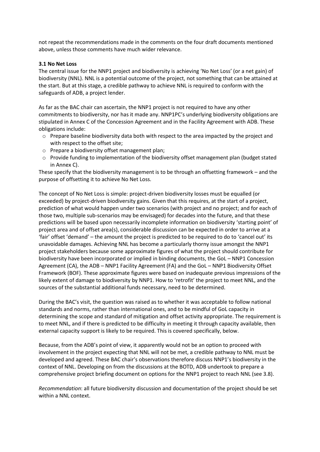not repeat the recommendations made in the comments on the four draft documents mentioned above, unless those comments have much wider relevance.

#### **3.1 No Net Loss**

The central issue for the NNP1 project and biodiversity is achieving 'No Net Loss' (or a net gain) of biodiversity (NNL). NNL is a potential outcome of the project, not something that can be attained at the start. But at this stage, a credible pathway to achieve NNL is required to conform with the safeguards of ADB, a project lender.

As far as the BAC chair can ascertain, the NNP1 project is not required to have any other commitments to biodiversity, nor has it made any. NNP1PC's underlying biodiversity obligations are stipulated in Annex C of the Concession Agreement and in the Facility Agreement with ADB. These obligations include:

- $\circ$  Prepare baseline biodiversity data both with respect to the area impacted by the project and with respect to the offset site;
- o Prepare a biodiversity offset management plan;
- $\circ$  Provide funding to implementation of the biodiversity offset management plan (budget stated in Annex C).

These specify that the biodiversity management is to be through an offsetting framework – and the purpose of offsetting it to achieve No Net Loss.

The concept of No Net Loss is simple: project-driven biodiversity losses must be equalled (or exceeded) by project-driven biodiversity gains. Given that this requires, at the start of a project, prediction of what would happen under two scenarios (with project and no project; and for each of those two, multiple sub-scenarios may be envisaged) for decades into the future, and that these predictions will be based upon necessarily incomplete information on biodiversity 'starting point' of project area and of offset area(s), considerable discussion can be expected in order to arrive at a 'fair' offset 'demand' – the amount the project is predicted to be required to do to 'cancel out' its unavoidable damages. Achieving NNL has become a particularly thorny issue amongst the NNP1 project stakeholders because some approximate figures of what the project should contribute for biodiversity have been incorporated or implied in binding documents, the GoL – NNP1 Concession Agreement (CA), the ADB – NNP1 Facility Agreement (FA) and the GoL – NNP1 Biodiversity Offset Framework (BOF). These approximate figures were based on inadequate previous impressions of the likely extent of damage to biodiversity by NNP1. How to 'retrofit' the project to meet NNL, and the sources of the substantial additional funds necessary, need to be determined.

During the BAC's visit, the question was raised as to whether it was acceptable to follow national standards and norms, rather than international ones, and to be mindful of GoL capacity in determining the scope and standard of mitigation and offset activity appropriate. The requirement is to meet NNL, and if there is predicted to be difficulty in meeting it through capacity available, then external capacity support is likely to be required. This is covered specifically, below.

Because, from the ADB's point of view, it apparently would not be an option to proceed with involvement in the project expecting that NNL will not be met, a credible pathway to NNL must be developed and agreed. These BAC chair's observations therefore discuss NNP1's biodiversity in the context of NNL. Developing on from the discussions at the BOTD, ADB undertook to prepare a comprehensive project briefing document on options for the NNP1 project to reach NNL (see 3.8).

*Recommendation*: all future biodiversity discussion and documentation of the project should be set within a NNL context.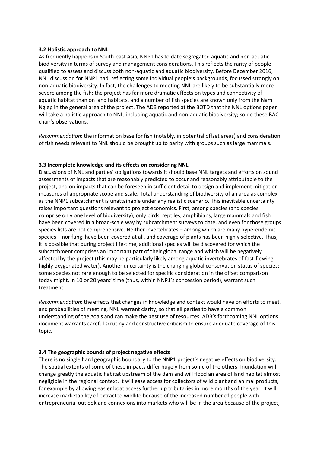#### **3.2 Holistic approach to NNL**

As frequently happens in South-east Asia, NNP1 has to date segregated aquatic and non-aquatic biodiversity in terms of survey and management considerations. This reflects the rarity of people qualified to assess and discuss both non-aquatic and aquatic biodiversity. Before December 2016, NNL discussion for NNP1 had, reflecting some individual people's backgrounds, focussed strongly on non-aquatic biodiversity. In fact, the challenges to meeting NNL are likely to be substantially more severe among the fish: the project has far more dramatic effects on types and connectivity of aquatic habitat than on land habitats, and a number of fish species are known only from the Nam Ngiep in the general area of the project. The ADB reported at the BOTD that the NNL options paper will take a holistic approach to NNL, including aquatic and non-aquatic biodiversity; so do these BAC chair's observations.

*Recommendation*: the information base for fish (notably, in potential offset areas) and consideration of fish needs relevant to NNL should be brought up to parity with groups such as large mammals.

## **3.3 Incomplete knowledge and its effects on considering NNL**

Discussions of NNL and parties' obligations towards it should base NNL targets and efforts on sound assessments of impacts that are reasonably predicted to occur and reasonably attributable to the project, and on impacts that can be foreseen in sufficient detail to design and implement mitigation measures of appropriate scope and scale. Total understanding of biodiversity of an area as complex as the NNP1 subcatchment is unattainable under any realistic scenario. This inevitable uncertainty raises important questions relevant to project economics. First, among species (and species comprise only one level of biodiversity), only birds, reptiles, amphibians, large mammals and fish have been covered in a broad-scale way by subcatchment surveys to date, and even for those groups species lists are not comprehensive. Neither invertebrates – among which are many hyperendemic species – nor fungi have been covered at all, and coverage of plants has been highly selective. Thus, it is possible that during project life-time, additional species will be discovered for which the subcatchment comprises an important part of their global range and which will be negatively affected by the project (this may be particularly likely among aquatic invertebrates of fast-flowing, highly oxygenated water). Another uncertainty is the changing global conservation status of species: some species not rare enough to be selected for specific consideration in the offset comparison today might, in 10 or 20 years' time (thus, within NNP1's concession period), warrant such treatment.

*Recommendation*: the effects that changes in knowledge and context would have on efforts to meet, and probabilities of meeting, NNL warrant clarity, so that all parties to have a common understanding of the goals and can make the best use of resources. ADB's forthcoming NNL options document warrants careful scrutiny and constructive criticism to ensure adequate coverage of this topic.

## **3.4 The geographic bounds of project negative effects**

There is no single hard geographic boundary to the NNP1 project's negative effects on biodiversity. The spatial extents of some of these impacts differ hugely from some of the others. Inundation will change greatly the aquatic habitat upstream of the dam and will flood an area of land habitat almost negligible in the regional context. It will ease access for collectors of wild plant and animal products, for example by allowing easier boat access further up tributaries in more months of the year. It will increase marketability of extracted wildlife because of the increased number of people with entrepreneurial outlook and connexions into markets who will be in the area because of the project,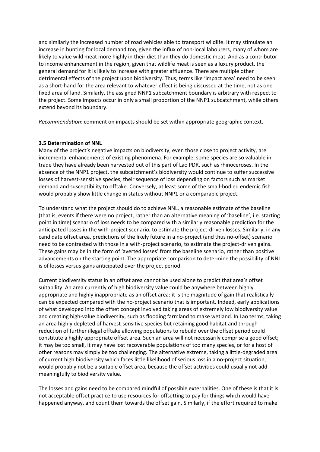and similarly the increased number of road vehicles able to transport wildlife. It may stimulate an increase in hunting for local demand too, given the influx of non-local labourers, many of whom are likely to value wild meat more highly in their diet than they do domestic meat. And as a contributor to income enhancement in the region, given that wildlife meat is seen as a luxury product, the general demand for it is likely to increase with greater affluence. There are multiple other detrimental effects of the project upon biodiversity. Thus, terms like 'impact area' need to be seen as a short-hand for the area relevant to whatever effect is being discussed at the time, not as one fixed area of land. Similarly, the assigned NNP1 subcatchment boundary is arbitrary with respect to the project. Some impacts occur in only a small proportion of the NNP1 subcatchment, while others extend beyond its boundary.

*Recommendation*: comment on impacts should be set within appropriate geographic context.

#### **3.5 Determination of NNL**

Many of the project's negative impacts on biodiversity, even those close to project activity, are incremental enhancements of existing phenomena. For example, some species are so valuable in trade they have already been harvested out of this part of Lao PDR, such as rhinoceroses. In the absence of the NNP1 project, the subcatchment's biodiversity would continue to suffer successive losses of harvest-sensitive species, their sequence of loss depending on factors such as market demand and susceptibility to offtake. Conversely, at least some of the small-bodied endemic fish would probably show little change in status without NNP1 or a comparable project.

To understand what the project should do to achieve NNL, a reasonable estimate of the baseline (that is, events if there were no project, rather than an alternative meaning of 'baseline', i.e. starting point in time) scenario of loss needs to be compared with a similarly reasonable prediction for the anticipated losses in the with-project scenario, to estimate the project-driven losses. Similarly, in any candidate offset area, predictions of the likely future in a no-project (and thus no-offset) scenario need to be contrasted with those in a with-project scenario, to estimate the project-driven gains. These gains may be in the form of 'averted losses' from the baseline scenario, rather than positive advancements on the starting point. The appropriate comparison to determine the possibility of NNL is of losses versus gains anticipated over the project period.

Current biodiversity status in an offset area cannot be used alone to predict that area's offset suitability. An area currently of high biodiversity value could be anywhere between highly appropriate and highly inappropriate as an offset area: it is the magnitude of gain that realistically can be expected compared with the no-project scenario that is important. Indeed, early applications of what developed into the offset concept involved taking areas of extremely low biodiversity value and creating high-value biodiversity, such as flooding farmland to make wetland. In Lao terms, taking an area highly depleted of harvest-sensitive species but retaining good habitat and through reduction of further illegal offtake allowing populations to rebuild over the offset period could constitute a highly appropriate offset area. Such an area will not necessarily comprise a good offset; it may be too small, it may have lost recoverable populations of too many species, or for a host of other reasons may simply be too challenging. The alternative extreme, taking a little-degraded area of current high biodiversity which faces little likelihood of serious loss in a no-project situation, would probably not be a suitable offset area, because the offset activities could usually not add meaningfully to biodiversity value.

The losses and gains need to be compared mindful of possible externalities. One of these is that it is not acceptable offset practice to use resources for offsetting to pay for things which would have happened anyway, and count them towards the offset gain. Similarly, if the effort required to make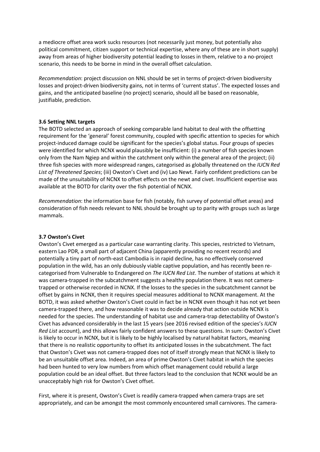a mediocre offset area work sucks resources (not necessarily just money, but potentially also political commitment, citizen support or technical expertise, where any of these are in short supply) away from areas of higher biodiversity potential leading to losses in them, relative to a no-project scenario, this needs to be borne in mind in the overall offset calculation.

*Recommendation*: project discussion on NNL should be set in terms of project-driven biodiversity losses and project-driven biodiversity gains, not in terms of 'current status'. The expected losses and gains, and the anticipated baseline (no project) scenario, should all be based on reasonable, justifiable, prediction.

#### **3.6 Setting NNL targets**

The BOTD selected an approach of seeking comparable land habitat to deal with the offsetting requirement for the 'general' forest community, coupled with specific attention to species for which project-induced damage could be significant for the species's global status. Four groups of species were identified for which NCNX would plausibly be insufficient: (i) a number of fish species known only from the Nam Ngiep and within the catchment only within the general area of the project; (ii) three fish species with more widespread ranges, categorised as globally threatened on the *IUCN Red List of Threatened Species*; (iii) Owston's Civet and (iv) Lao Newt. Fairly confident predictions can be made of the unsuitability of NCNX to offset effects on the newt and civet. Insufficient expertise was available at the BOTD for clarity over the fish potential of NCNX.

*Recommendation*: the information base for fish (notably, fish survey of potential offset areas) and consideration of fish needs relevant to NNL should be brought up to parity with groups such as large mammals.

#### **3.7 Owston's Civet**

Owston's Civet emerged as a particular case warranting clarity. This species, restricted to Vietnam, eastern Lao PDR, a small part of adjacent China (apparently providing no recent records) and potentially a tiny part of north-east Cambodia is in rapid decline, has no effectively conserved population in the wild, has an only dubiously viable captive population, and has recently been recategorised from Vulnerable to Endangered on *The IUCN Red List*. The number of stations at which it was camera-trapped in the subcatchment suggests a healthy population there. It was not cameratrapped or otherwise recorded in NCNX. If the losses to the species in the subcatchment cannot be offset by gains in NCNX, then it requires special measures additional to NCNX management. At the BOTD, it was asked whether Owston's Civet could in fact be in NCNX even though it has not yet been camera-trapped there, and how reasonable it was to decide already that action outside NCNX is needed for the species. The understanding of habitat use and camera-trap detectability of Owston's Civet has advanced considerably in the last 15 years (see 2016 revised edition of the species's *IUCN Red List* account), and this allows fairly confident answers to these questions. In sum: Owston's Civet is likely to occur in NCNX, but it is likely to be highly localised by natural habitat factors, meaning that there is no realistic opportunity to offset its anticipated losses in the subcatchment. The fact that Owston's Civet was not camera-trapped does not of itself strongly mean that NCNX is likely to be an unsuitable offset area. Indeed, an area of prime Owston's Civet habitat in which the species had been hunted to very low numbers from which offset management could rebuild a large population could be an ideal offset. But three factors lead to the conclusion that NCNX would be an unacceptably high risk for Owston's Civet offset.

First, where it is present, Owston's Civet is readily camera-trapped when camera-traps are set appropriately, and can be amongst the most commonly encountered small carnivores. The camera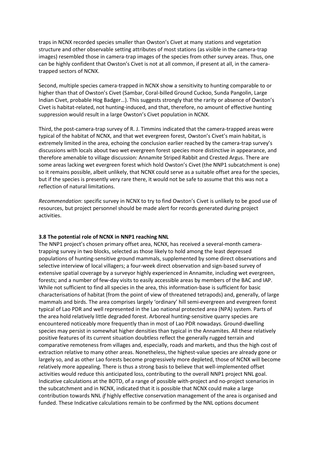traps in NCNX recorded species smaller than Owston's Civet at many stations and vegetation structure and other observable setting attributes of most stations (as visible in the camera-trap images) resembled those in camera-trap images of the species from other survey areas. Thus, one can be highly confident that Owston's Civet is not at all common, if present at all, in the cameratrapped sectors of NCNX.

Second, multiple species camera-trapped in NCNX show a sensitivity to hunting comparable to or higher than that of Owston's Civet (Sambar, Coral-billed Ground Cuckoo, Sunda Pangolin, Large Indian Civet, probable Hog Badger…). This suggests strongly that the rarity or absence of Owston's Civet is habitat-related, not hunting-induced, and that, therefore, no amount of effective hunting suppression would result in a large Owston's Civet population in NCNX.

Third, the post-camera-trap survey of R. J. Timmins indicated that the camera-trapped areas were typical of the habitat of NCNX, and that wet evergreen forest, Owston's Civet's main habitat, is extremely limited in the area, echoing the conclusion earlier reached by the camera-trap survey's discussions with locals about two wet evergreen forest species more distinctive in appearance, and therefore amenable to village discussion: Annamite Striped Rabbit and Crested Argus. There are some areas lacking wet evergreen forest which hold Owston's Civet (the NNP1 subcatchment is one) so it remains possible, albeit unlikely, that NCNX could serve as a suitable offset area for the species, but if the species is presently very rare there, it would not be safe to assume that this was not a reflection of natural limitations.

*Recommendation*: specific survey in NCNX to try to find Owston's Civet is unlikely to be good use of resources, but project personnel should be made alert for records generated during project activities.

#### **3.8 The potential role of NCNX in NNP1 reaching NNL**

The NNP1 project's chosen primary offset area, NCNX, has received a several-month cameratrapping survey in two blocks, selected as those likely to hold among the least depressed populations of hunting-sensitive ground mammals, supplemented by some direct observations and selective interview of local villagers; a four-week direct observation and sign-based survey of extensive spatial coverage by a surveyor highly experienced in Annamite, including wet evergreen, forests; and a number of few-day visits to easily accessible areas by members of the BAC and IAP. While not sufficient to find all species in the area, this information-base is sufficient for basic characterisations of habitat (from the point of view of threatened tetrapods) and, generally, of large mammals and birds. The area comprises largely 'ordinary' hill semi-evergreen and evergreen forest typical of Lao PDR and well represented in the Lao national protected area (NPA) system. Parts of the area hold relatively little degraded forest. Arboreal hunting-sensitive quarry species are encountered noticeably more frequently than in most of Lao PDR nowadays. Ground-dwelling species may persist in somewhat higher densities than typical in the Annamites. All these relatively positive features of its current situation doubtless reflect the generally rugged terrain and comparative remoteness from villages and, especially, roads and markets, and thus the high cost of extraction relative to many other areas. Nonetheless, the highest-value species are already gone or largely so, and as other Lao forests become progressively more depleted, those of NCNX will become relatively more appealing. There is thus a strong basis to believe that well-implemented offset activities would reduce this anticipated loss, contributing to the overall NNP1 project NNL goal. Indicative calculations at the BOTD, of a range of possible with-project and no-project scenarios in the subcatchment and in NCNX, indicated that it is possible that NCNX could make a large contribution towards NNL *if* highly effective conservation management of the area is organised and funded. These Indicative calculations remain to be confirmed by the NNL options document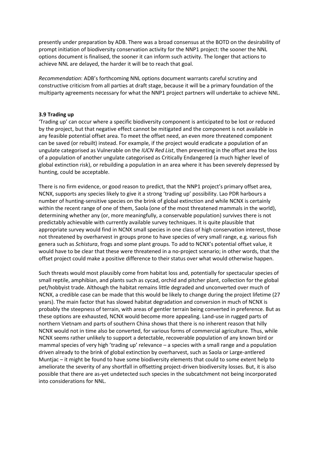presently under preparation by ADB. There was a broad consensus at the BOTD on the desirability of prompt initiation of biodiversity conservation activity for the NNP1 project: the sooner the NNL options document is finalised, the sooner it can inform such activity. The longer that actions to achieve NNL are delayed, the harder it will be to reach that goal.

*Recommendation*: ADB's forthcoming NNL options document warrants careful scrutiny and constructive criticism from all parties at draft stage, because it will be a primary foundation of the multiparty agreements necessary for what the NNP1 project partners will undertake to achieve NNL.

#### **3.9 Trading up**

'Trading up' can occur where a specific biodiversity component is anticipated to be lost or reduced by the project, but that negative effect cannot be mitigated and the component is not available in any feasible potential offset area. To meet the offset need, an even more threatened component can be saved (or rebuilt) instead. For example, if the project would eradicate a population of an ungulate categorised as Vulnerable on the *IUCN Red List*, then preventing in the offset area the loss of a population of another ungulate categorised as Critically Endangered (a much higher level of global extinction risk), or rebuilding a population in an area where it has been severely depressed by hunting, could be acceptable.

There is no firm evidence, or good reason to predict, that the NNP1 project's primary offset area, NCNX, supports any species likely to give it a strong 'trading up' possibility. Lao PDR harbours a number of hunting-sensitive species on the brink of global extinction and while NCNX is certainly within the recent range of one of them, Saola (one of the most threatened mammals in the world), determining whether any (or, more meaningfully, a conservable population) survives there is not predictably achievable with currently available survey techniques. It is quite plausible that appropriate survey would find in NCNX small species in one class of high conservation interest, those not threatened by overharvest in groups prone to have species of very small range, e.g. various fish genera such as *Schistura*, frogs and some plant groups. To add to NCNX's potential offset value, it would have to be clear that these were threatened in a no-project scenario; in other words, that the offset project could make a positive difference to their status over what would otherwise happen.

Such threats would most plausibly come from habitat loss and, potentially for spectacular species of small reptile, amphibian, and plants such as cycad, orchid and pitcher plant, collection for the global pet/hobbyist trade. Although the habitat remains little degraded and unconverted over much of NCNX, a credible case can be made that this would be likely to change during the project lifetime (27 years). The main factor that has slowed habitat degradation and conversion in much of NCNX is probably the steepness of terrain, with areas of gentler terrain being converted in preference. But as these options are exhausted, NCNX would become more appealing. Land-use in rugged parts of northern Vietnam and parts of southern China shows that there is no inherent reason that hilly NCNX would not in time also be converted, for various forms of commercial agriculture. Thus, while NCNX seems rather unlikely to support a detectable, recoverable population of any known bird or mammal species of very high 'trading up' relevance – a species with a small range and a population driven already to the brink of global extinction by overharvest, such as Saola or Large-antlered Muntjac – it might be found to have some biodiversity elements that could to some extent help to ameliorate the severity of any shortfall in offsetting project-driven biodiversity losses. But, it is also possible that there are as-yet undetected such species in the subcatchment not being incorporated into considerations for NNL.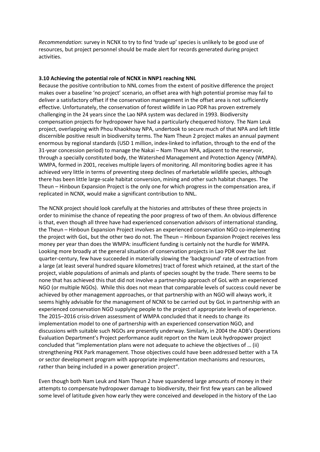*Recommendation*: survey in NCNX to try to find 'trade up' species is unlikely to be good use of resources, but project personnel should be made alert for records generated during project activities.

#### **3.10 Achieving the potential role of NCNX in NNP1 reaching NNL**

Because the positive contribution to NNL comes from the extent of positive difference the project makes over a baseline 'no project' scenario, an offset area with high potential promise may fail to deliver a satisfactory offset if the conservation management in the offset area is not sufficiently effective. Unfortunately, the conservation of forest wildlife in Lao PDR has proven extremely challenging in the 24 years since the Lao NPA system was declared in 1993. Biodiversity compensation projects for hydropower have had a particularly chequered history. The Nam Leuk project, overlapping with Phou Khaokhoay NPA, undertook to secure much of that NPA and left little discernible positive result in biodiversity terms. The Nam Theun 2 project makes an annual payment enormous by regional standards (USD 1 million, index-linked to inflation, through to the end of the 31-year concession period) to manage the Nakai – Nam Theun NPA, adjacent to the reservoir, through a specially constituted body, the Watershed Management and Protection Agency (WMPA). WMPA, formed in 2001, receives multiple layers of monitoring. All monitoring bodies agree it has achieved very little in terms of preventing steep declines of marketable wildlife species, although there has been little large-scale habitat conversion, mining and other such habitat changes. The Theun – Hinboun Expansion Project is the only one for which progress in the compensation area, if replicated in NCNX, would make a significant contribution to NNL.

The NCNX project should look carefully at the histories and attributes of these three projects in order to minimise the chance of repeating the poor progress of two of them. An obvious difference is that, even though all three have had experienced conservation advisors of international standing, the Theun – Hinboun Expansion Project involves an experienced conservation NGO co-implementing the project with GoL, but the other two do not. The Theun – Hinboun Expansion Project receives less money per year than does the WMPA: insufficient funding is certainly not the hurdle for WMPA. Looking more broadly at the general situation of conservation projects in Lao PDR over the last quarter-century, few have succeeded in materially slowing the 'background' rate of extraction from a large (at least several hundred square kilometres) tract of forest which retained, at the start of the project, viable populations of animals and plants of species sought by the trade. There seems to be none that has achieved this that did not involve a partnership approach of GoL with an experienced NGO (or multiple NGOs). While this does not mean that comparable levels of success could never be achieved by other management approaches, or that partnership with an NGO will always work, it seems highly advisable for the management of NCNX to be carried out by GoL in partnership with an experienced conservation NGO supplying people to the project of appropriate levels of experience. The 2015–2016 crisis-driven assessment of WMPA concluded that it needs to change its implementation model to one of partnership with an experienced conservation NGO, and discussions with suitable such NGOs are presently underway. Similarly, in 2004 the ADB's Operations Evaluation Department's Project performance audit report on the Nam Leuk hydropower project concluded that "implementation plans were not adequate to achieve the objectives of … (ii) strengthening PKK Park management. Those objectives could have been addressed better with a TA or sector development program with appropriate implementation mechanisms and resources, rather than being included in a power generation project".

Even though both Nam Leuk and Nam Theun 2 have squandered large amounts of money in their attempts to compensate hydropower damage to biodiversity, their first few years can be allowed some level of latitude given how early they were conceived and developed in the history of the Lao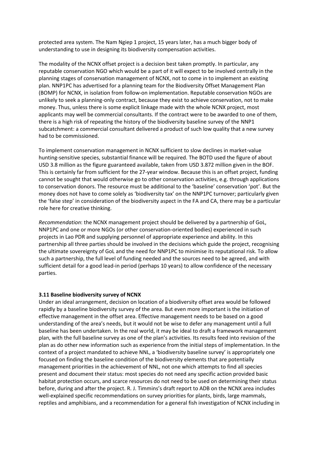protected area system. The Nam Ngiep 1 project, 15 years later, has a much bigger body of understanding to use in designing its biodiversity compensation activities.

The modality of the NCNX offset project is a decision best taken promptly. In particular, any reputable conservation NGO which would be a part of it will expect to be involved centrally in the planning stages of conservation management of NCNX, not to come in to implement an existing plan. NNP1PC has advertised for a planning team for the Biodiversity Offset Management Plan (BOMP) for NCNX, in isolation from follow-on implementation. Reputable conservation NGOs are unlikely to seek a planning-only contract, because they exist to achieve conservation, not to make money. Thus, unless there is some explicit linkage made with the whole NCNX project, most applicants may well be commercial consultants. If the contract were to be awarded to one of them, there is a high risk of repeating the history of the biodiversity baseline survey of the NNP1 subcatchment: a commercial consultant delivered a product of such low quality that a new survey had to be commissioned.

To implement conservation management in NCNX sufficient to slow declines in market-value hunting-sensitive species, substantial finance will be required. The BOTD used the figure of about USD 3.8 million as the figure guaranteed available, taken from USD 3.872 million given in the BOF. This is certainly far from sufficient for the 27-year window. Because this is an offset project, funding cannot be sought that would otherwise go to other conservation activities, e.g. through applications to conservation donors. The resource must be additional to the 'baseline' conservation 'pot'. But the money does not have to come solely as 'biodiversity tax' on the NNP1PC turnover; particularly given the 'false step' in consideration of the biodiversity aspect in the FA and CA, there may be a particular role here for creative thinking.

*Recommendation*: the NCNX management project should be delivered by a partnership of GoL, NNP1PC and one or more NGOs (or other conservation-oriented bodies) experienced in such projects in Lao PDR and supplying personnel of appropriate experience and ability. In this partnership all three parties should be involved in the decisions which guide the project, recognising the ultimate sovereignty of GoL and the need for NNP1PC to minimise its reputational risk. To allow such a partnership, the full level of funding needed and the sources need to be agreed, and with sufficient detail for a good lead-in period (perhaps 10 years) to allow confidence of the necessary parties.

#### **3.11 Baseline biodiversity survey of NCNX**

Under an ideal arrangement, decision on location of a biodiversity offset area would be followed rapidly by a baseline biodiversity survey of the area. But even more important is the initiation of effective management in the offset area. Effective management needs to be based on a good understanding of the area's needs, but it would not be wise to defer any management until a full baseline has been undertaken. In the real world, it may be ideal to draft a framework management plan, with the full baseline survey as one of the plan's activities. Its results feed into revision of the plan as do other new information such as experience from the initial steps of implementation. In the context of a project mandated to achieve NNL, a 'biodiversity baseline survey' is appropriately one focused on finding the baseline condition of the biodiversity elements that are potentially management priorities in the achievement of NNL, not one which attempts to find all species present and document their status: most species do not need any specific action provided basic habitat protection occurs, and scarce resources do not need to be used on determining their status before, during and after the project. R. J. Timmins's draft report to ADB on the NCNX area includes well-explained specific recommendations on survey priorities for plants, birds, large mammals, reptiles and amphibians, and a recommendation for a general fish investigation of NCNX including in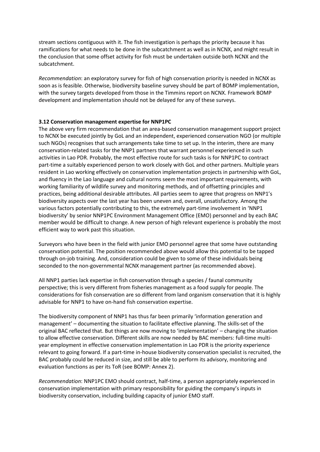stream sections contiguous with it. The fish investigation is perhaps the priority because it has ramifications for what needs to be done in the subcatchment as well as in NCNX, and might result in the conclusion that some offset activity for fish must be undertaken outside both NCNX and the subcatchment.

*Recommendation*: an exploratory survey for fish of high conservation priority is needed in NCNX as soon as is feasible. Otherwise, biodiversity baseline survey should be part of BOMP implementation, with the survey targets developed from those in the Timmins report on NCNX. Framework BOMP development and implementation should not be delayed for any of these surveys.

#### **3.12 Conservation management expertise for NNP1PC**

The above very firm recommendation that an area-based conservation management support project to NCNX be executed jointly by GoL and an independent, experienced conservation NGO (or multiple such NGOs) recognises that such arrangements take time to set up. In the interim, there are many conservation-related tasks for the NNP1 partners that warrant personnel experienced in such activities in Lao PDR. Probably, the most effective route for such tasks is for NNP1PC to contract part-time a suitably experienced person to work closely with GoL and other partners. Multiple years resident in Lao working effectively on conservation implementation projects in partnership with GoL, and fluency in the Lao language and cultural norms seem the most important requirements, with working familiarity of wildlife survey and monitoring methods, and of offsetting principles and practices, being additional desirable attributes. All parties seem to agree that progress on NNP1's biodiversity aspects over the last year has been uneven and, overall, unsatisfactory. Among the various factors potentially contributing to this, the extremely part-time involvement in 'NNP1 biodiversity' by senior NNP1PC Environment Management Office (EMO) personnel and by each BAC member would be difficult to change. A new person of high relevant experience is probably the most efficient way to work past this situation.

Surveyors who have been in the field with junior EMO personnel agree that some have outstanding conservation potential. The position recommended above would allow this potential to be tapped through on-job training. And, consideration could be given to some of these individuals being seconded to the non-governmental NCNX management partner (as recommended above).

All NNP1 parties lack expertise in fish conservation through a species / faunal community perspective; this is very different from fisheries management as a food supply for people. The considerations for fish conservation are so different from land organism conservation that it is highly advisable for NNP1 to have on-hand fish conservation expertise.

The biodiversity component of NNP1 has thus far been primarily 'information generation and management' – documenting the situation to facilitate effective planning. The skills-set of the original BAC reflected that. But things are now moving to 'implementation' – changing the situation to allow effective conservation. Different skills are now needed by BAC members: full-time multiyear employment in effective conservation implementation in Lao PDR is the priority experience relevant to going forward. If a part-time in-house biodiversity conservation specialist is recruited, the BAC probably could be reduced in size, and still be able to perform its advisory, monitoring and evaluation functions as per its ToR (see BOMP: Annex 2).

*Recommendation*: NNP1PC EMO should contract, half-time, a person appropriately experienced in conservation implementation with primary responsibility for guiding the company's inputs in biodiversity conservation, including building capacity of junior EMO staff.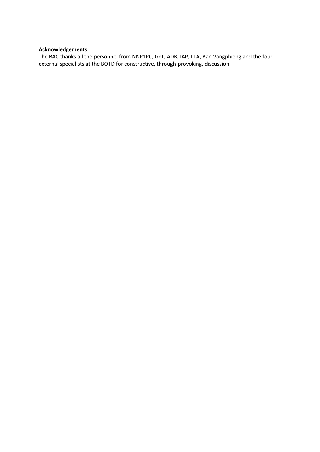#### **Acknowledgements**

The BAC thanks all the personnel from NNP1PC, GoL, ADB, IAP, LTA, Ban Vangphieng and the four external specialists at the BOTD for constructive, through-provoking, discussion.